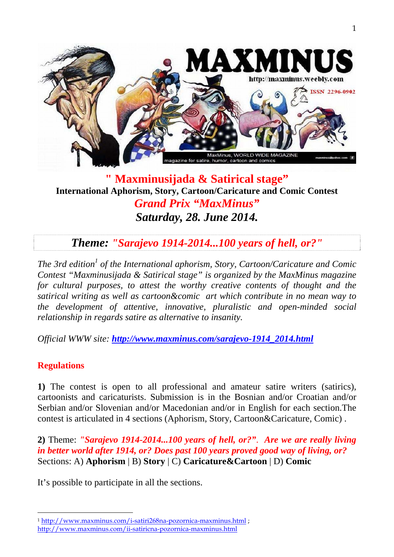

### **" Maxminusijada & Satirical stage" International Aphorism, Story, Cartoon/Caricature and Comic Contest**  *Grand Prix "MaxMinus" Saturday, 28. June 2014.*

# *Theme: "Sarajevo 1914-2014...100 years of hell, or?"*

The 3rd edition<sup>1</sup> of the International aphorism, Story, Cartoon/Caricature and Comic *Contest "Maxminusijada & Satirical stage" is organized by the MaxMinus magazine for cultural purposes, to attest the worthy creative contents of thought and the satirical writing as well as cartoon&comic art which contribute in no mean way to the development of attentive, innovative, pluralistic and open-minded social relationship in regards satire as alternative to insanity.* 

*Official WWW site: http://www.maxminus.com/sarajevo-1914\_2014.html*

#### **Regulations**

 $\overline{a}$ 

**1)** The contest is open to all professional and amateur satire writers (satirics), cartoonists and caricaturists. Submission is in the Bosnian and/or Croatian and/or Serbian and/or Slovenian and/or Macedonian and/or in English for each section.The contest is articulated in 4 sections (Aphorism, Story, Cartoon&Caricature, Comic) .

**2)** Theme: *"Sarajevo 1914-2014...100 years of hell, or?"*. *Are we are really living in better world after 1914, or? Does past 100 years proved good way of living, or?*  Sections: A) **Aphorism** | B) **Story** | C) **Caricature&Cartoon** | D) **Comic** 

It's possible to participate in all the sections.

<sup>1</sup> http://www.maxminus.com/i-satiri268na-pozornica-maxminus.html ; http://www.maxminus.com/ii-satiricna-pozornica-maxminus.html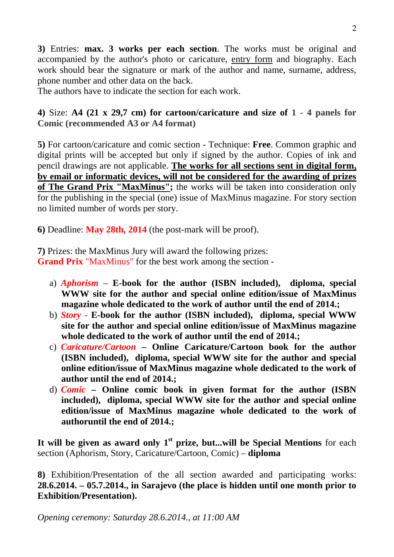**3)** Entries: **max. 3 works per each section**. The works must be original and accompanied by the author's photo or caricature, entry form and biography. Each work should bear the signature or mark of the author and name, surname, address, phone number and other data on the back.

The authors have to indicate the section for each work.

**4)** Size: **A4 (21 x 29,7 cm) for cartoon/caricature and size of 1 - 4 panels for Comic (recommended A3 or A4 format)**

**5)** For cartoon/caricature and comic section - Technique: **Free**. Common graphic and digital prints will be accepted but only if signed by the author. Copies of ink and pencil drawings are not applicable. **The works for all sections sent in digital form, by email or informatic devices, will not be considered for the awarding of prizes of The Grand Prix "MaxMinus";** the works will be taken into consideration only for the publishing in the special (one) issue of MaxMinus magazine. For story section no limited number of words per story.

**6)** Deadline: **May 28th, 2014** (the post-mark will be proof).

**7)** Prizes: the MaxMinus Jury will award the following prizes:

**Grand Prix** "MaxMinus" for the best work among the section -

- a) *Aphorism*  **E-book for the author (ISBN included), diploma, special WWW site for the author and special online edition/issue of MaxMinus magazine whole dedicated to the work of author until the end of 2014.;**
- b) *Story -* **E-book for the author (ISBN included), diploma, special WWW site for the author and special online edition/issue of MaxMinus magazine whole dedicated to the work of author until the end of 2014.;**
- c) *Caricature/Cartoon* **Online Caricature/Cartoon book for the author (ISBN included), diploma, special WWW site for the author and special online edition/issue of MaxMinus magazine whole dedicated to the work of author until the end of 2014.;**
- d) *Comic*  **Online comic book in given format for the author (ISBN included), diploma, special WWW site for the author and special online edition/issue of MaxMinus magazine whole dedicated to the work of authoruntil the end of 2014.;**

It will be given as award only 1<sup>st</sup> prize, but...will be Special Mentions for each section (Aphorism, Story, Caricature/Cartoon, Comic) – **diploma** 

**8)** Exhibition/Presentation of the all section awarded and participating works: **28.6.2014. – 05.7.2014., in Sarajevo (the place is hidden until one month prior to Exhibition/Presentation).**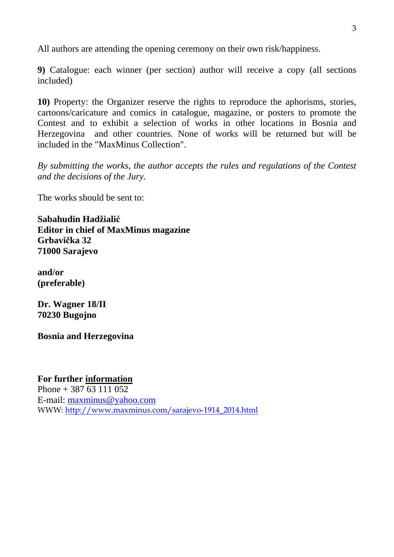All authors are attending the opening ceremony on their own risk/happiness.

**9)** Catalogue: each winner (per section) author will receive a copy (all sections included)

**10)** Property: the Organizer reserve the rights to reproduce the aphorisms, stories, cartoons/caricature and comics in catalogue, magazine, or posters to promote the Contest and to exhibit a selection of works in other locations in Bosnia and Herzegovina and other countries. None of works will be returned but will be included in the "MaxMinus Collection".

*By submitting the works, the author accepts the rules and regulations of the Contest and the decisions of the Jury.* 

The works should be sent to:

**Sabahudin Hadžialić Editor in chief of MaxMinus magazine Grbavička 32 71000 Sarajevo** 

**and/or (preferable)** 

**Dr. Wagner 18/II 70230 Bugojno** 

**Bosnia and Herzegovina**

**For further information** Phone  $+ 387 63 111 052$ E-mail: maxminus@yahoo.com WWW: http://www.maxminus.com/sarajevo-1914\_2014.html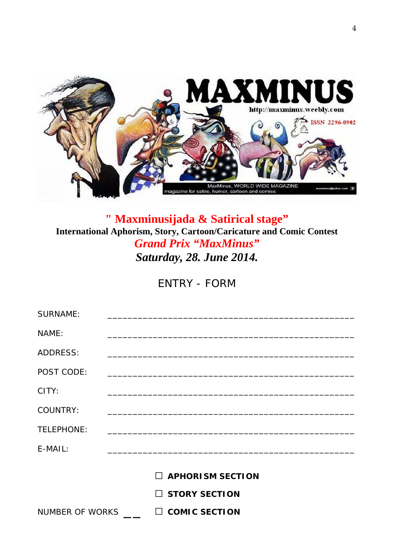

# **" Maxminusijada & Satirical stage" International Aphorism, Story, Cartoon/Caricature and Comic Contest**  *Grand Prix "MaxMinus" Saturday, 28. June 2014.*

ENTRY - FORM

| <b>SURNAME:</b> |                         |
|-----------------|-------------------------|
| NAME:           |                         |
| <b>ADDRESS:</b> |                         |
| POST CODE:      |                         |
| CITY:           |                         |
| <b>COUNTRY:</b> |                         |
| TELEPHONE:      |                         |
| E-MAIL:         |                         |
|                 | $\Box$ APHORISM SECTION |
|                 |                         |
|                 | $\Box$ STORY SECTION    |
| NUMBER OF WORKS | $\Box$ COMIC SECTION    |